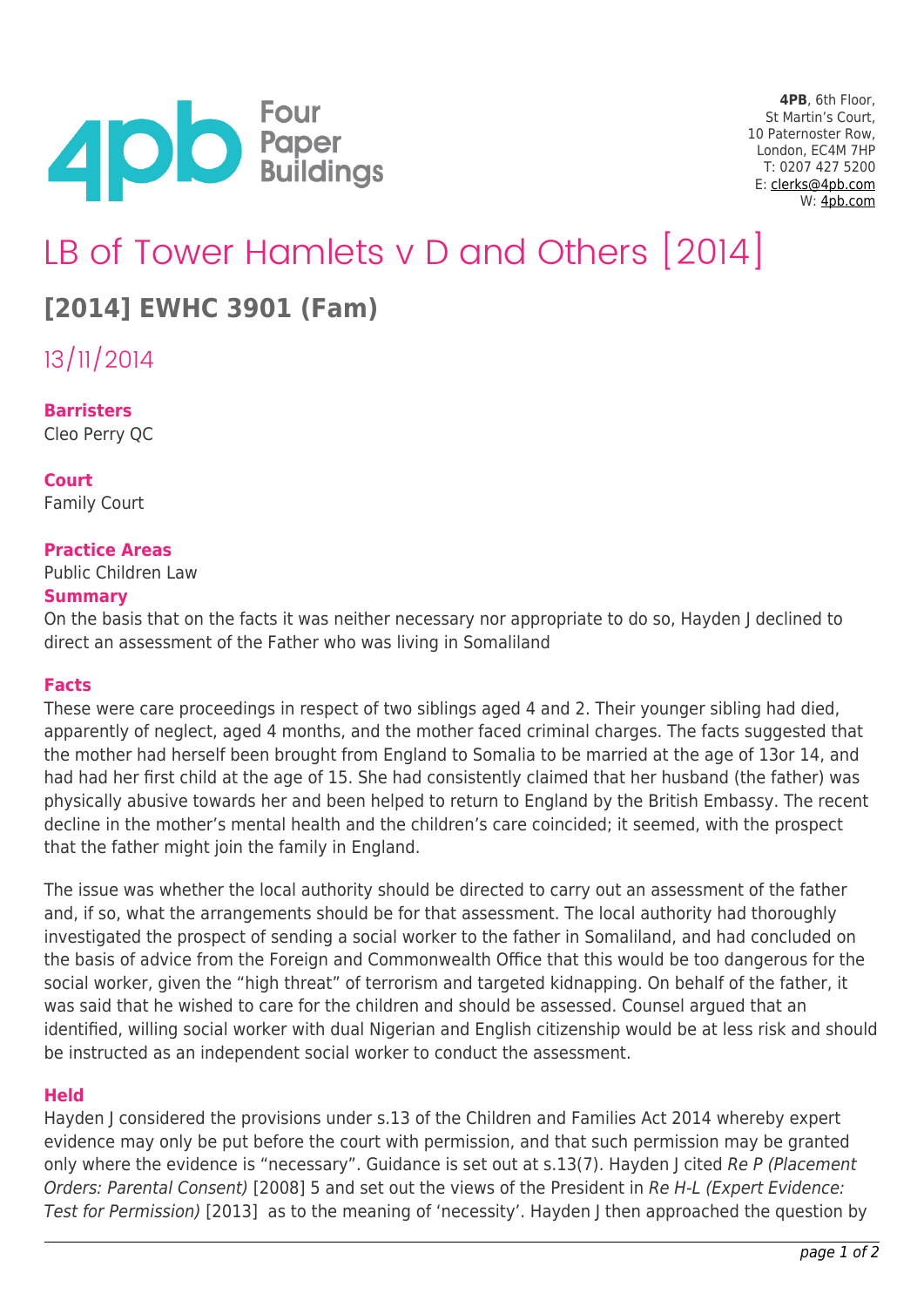

**4PB**, 6th Floor, St Martin's Court, 10 Paternoster Row, London, EC4M 7HP T: 0207 427 5200 E: [clerks@4pb.com](mailto:clerks@4pb.com) W: [4pb.com](http://4pb.com)

# LB of Tower Hamlets v D and Others [2014]

# **[2014] EWHC 3901 (Fam)**

13/11/2014

# **Barristers**

Cleo Perry QC

# **Court**

Family Court

# **Practice Areas**

Public Children Law

#### **Summary**

On the basis that on the facts it was neither necessary nor appropriate to do so, Hayden J declined to direct an assessment of the Father who was living in Somaliland

#### **Facts**

These were care proceedings in respect of two siblings aged 4 and 2. Their younger sibling had died, apparently of neglect, aged 4 months, and the mother faced criminal charges. The facts suggested that the mother had herself been brought from England to Somalia to be married at the age of 13or 14, and had had her first child at the age of 15. She had consistently claimed that her husband (the father) was physically abusive towards her and been helped to return to England by the British Embassy. The recent decline in the mother's mental health and the children's care coincided; it seemed, with the prospect that the father might join the family in England.

The issue was whether the local authority should be directed to carry out an assessment of the father and, if so, what the arrangements should be for that assessment. The local authority had thoroughly investigated the prospect of sending a social worker to the father in Somaliland, and had concluded on the basis of advice from the Foreign and Commonwealth Office that this would be too dangerous for the social worker, given the "high threat" of terrorism and targeted kidnapping. On behalf of the father, it was said that he wished to care for the children and should be assessed. Counsel argued that an identified, willing social worker with dual Nigerian and English citizenship would be at less risk and should be instructed as an independent social worker to conduct the assessment.

#### **Held**

Hayden J considered the provisions under s.13 of the Children and Families Act 2014 whereby expert evidence may only be put before the court with permission, and that such permission may be granted only where the evidence is "necessary". Guidance is set out at s.13(7). Hayden J cited Re P (Placement Orders: Parental Consent) [2008] 5 and set out the views of the President in Re H-L (Expert Evidence: Test for Permission) [2013] as to the meaning of 'necessity'. Hayden J then approached the question by